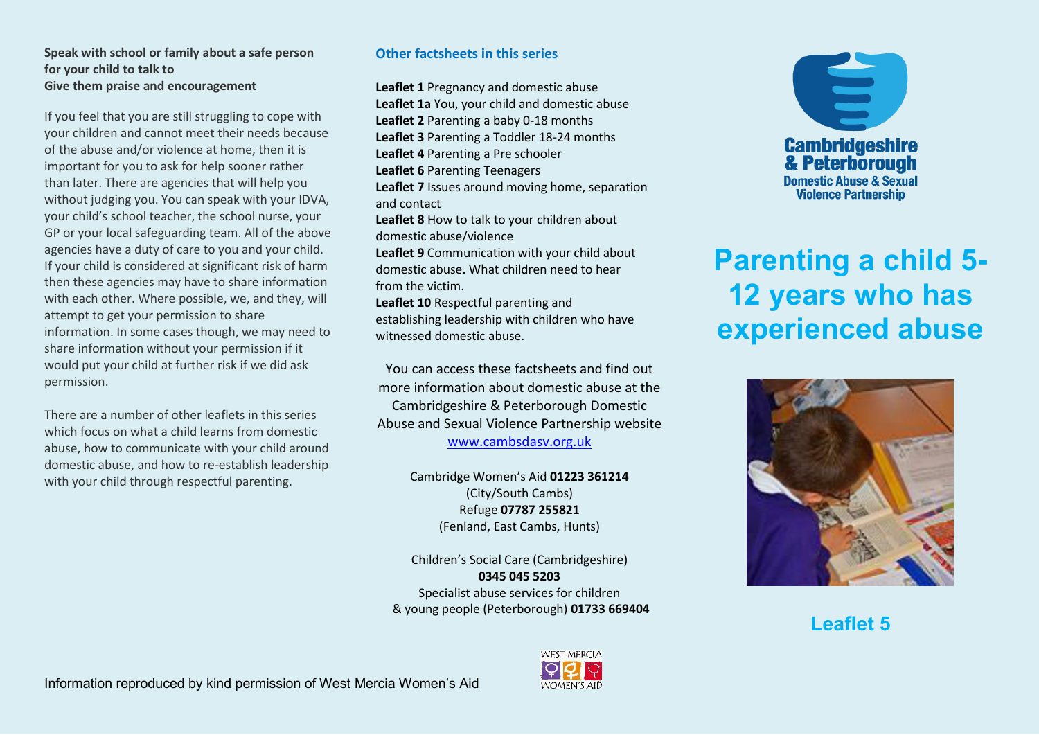#### **Speak with school or family about a safe person for your child to talk to Give them praise and encouragement**

If you feel that you are still struggling to cope with your children and cannot meet their needs because of the abuse and/or violence at home, then it is important for you to ask for help sooner rather than later. There are agencies that will help you without judging you. You can speak with your IDVA, vour child's school teacher, the school nurse, your GP or your local safeguarding team. All of the above agencies have a duty of care to you and your child. If your child is considered at significant risk of harm then these agencies may have to share information with each other. Where possible, we, and they, will attempt to get your permission to share information. In some cases though, we may need to share information without your permission if it would put your child at further risk if we did ask permission.

There are a number of other leaflets in this series which focus on what a child learns from domestic abuse, how to communicate with your child around domestic abuse, and how to re-establish leadership with your child through respectful parenting.

## **Other factsheets in this series**

**Leaflet 1** Pregnancy and domestic abuse **Leaflet 1a** You, your child and domestic abuse **Leaflet 2** Parenting a baby 0-18 months **Leaflet 3** Parenting a Toddler 18-24 months **Leaflet 4** Parenting a Pre schooler **Leaflet 6** Parenting Teenagers **Leaflet 7** Issues around moving home, separation and contact **Leaflet 8** How to talk to your children about domestic abuse/violence **Leaflet 9** Communication with your child about domestic abuse. What children need to hear from the victim. **Leaflet 10** Respectful parenting and establishing leadership with children who have witnessed domestic abuse.

You can access these factsheets and find out more information about domestic abuse at the Cambridgeshire & Peterborough Domestic Abuse and Sexual Violence Partnership website [www.cambsdasv.org.uk](http://www.cambsdasv.org.uk/) 

> Cambridge Women's Aid 01223 361214 (City/South Cambs) Refuge **07787 255821**  (Fenland, East Cambs, Hunts)

Children's Social Care (Cambridgeshire) **0345 045 5203**  Specialist abuse services for children & young people (Peterborough) **01733 669404** 



# **Parenting a child 5- 12 years who has experienced abuse**



**Leaflet 5**